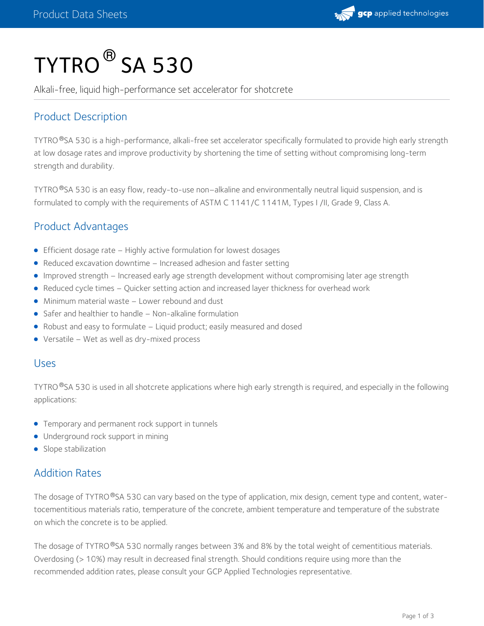

# $TYTRO<sup>®</sup>$  SA 530

Alkali-free, liquid high-performance set accelerator for shotcrete

# Product Description

TYTRO®SA 530 is a high-performance, alkali-free set accelerator specifically formulated to provide high early strength at low dosage rates and improve productivity by shortening the time of setting without compromising long-term strength and durability.

TYTRO ®SA 530 is an easy flow, ready-to-use non–alkaline and environmentally neutral liquid suspension, and is formulated to comply with the requirements of ASTM C 1141/C 1141M, Types I /II, Grade 9, Class A.

## Product Advantages

- **Efficient dosage rate Highly active formulation for lowest dosages**
- Reduced excavation downtime Increased adhesion and faster setting
- Improved strength Increased early age strength development without compromising later age strength
- Reduced cycle times Quicker setting action and increased layer thickness for overhead work
- Minimum material waste Lower rebound and dust
- Safer and healthier to handle Non-alkaline formulation
- Robust and easy to formulate Liquid product; easily measured and dosed
- Versatile Wet as well as dry-mixed process

#### Uses

TYTRO®SA 530 is used in all shotcrete applications where high early strength is required, and especially in the following applications:

- **•** Temporary and permanent rock support in tunnels
- Underground rock support in mining
- Slope stabilization

## Addition Rates

The dosage of TYTRO®SA 530 can vary based on the type of application, mix design, cement type and content, watertocementitious materials ratio, temperature of the concrete, ambient temperature and temperature of the substrate on which the concrete is to be applied.

The dosage of TYTRO  $\mathsf{^@SA}$  530 normally ranges between 3% and 8% by the total weight of cementitious materials. Overdosing (> 10%) may result in decreased final strength. Should conditions require using more than the recommended addition rates, please consult your GCP Applied Technologies representative.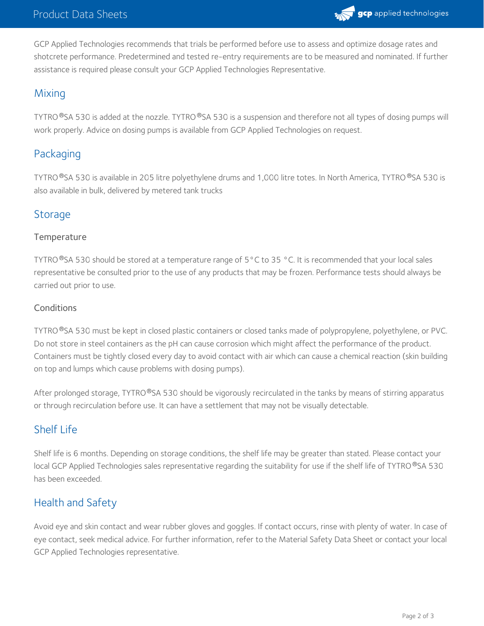

GCP Applied Technologies recommends that trials be performed before use to assess and optimize dosage rates and shotcrete performance. Predetermined and tested re-entry requirements are to be measured and nominated. If further assistance is required please consult your GCP Applied Technologies Representative.

## **Mixing**

<code>TYTRO®SA</code> 530 is added at the nozzle. <code>TYTRO®SA</code> 530 is a suspension and therefore not all types of dosing pumps will work properly. Advice on dosing pumps is available from GCP Applied Technologies on request.

# Packaging

TYTRO®SA 530 is available in 205 litre polyethylene drums and 1,000 litre totes. In North America, TYTRO®SA 530 is also available in bulk, delivered by metered tank trucks

## Storage

#### **Temperature**

<code>TYTRO®SA</code> 530 should be stored at a temperature range of 5°C to 35 °C. It is recommended that your local sales representative be consulted prior to the use of any products that may be frozen. Performance tests should always be carried out prior to use.

#### Conditions

TYTRO ®SA 530 must be kept in closed plastic containers or closed tanks made of polypropylene, polyethylene, or PVC. Do not store in steel containers as the pH can cause corrosion which might affect the performance of the product. Containers must be tightly closed every day to avoid contact with air which can cause a chemical reaction (skin building on top and lumps which cause problems with dosing pumps).

After prolonged storage, TYTRO®SA 530 should be vigorously recirculated in the tanks by means of stirring apparatus or through recirculation before use. It can have a settlement that may not be visually detectable.

## Shelf Life

Shelf life is 6 months. Depending on storage conditions, the shelf life may be greater than stated. Please contact your local GCP Applied Technologies sales representative regarding the suitability for use if the shelf life of TYTRO®SA 530 has been exceeded.

## Health and Safety

Avoid eye and skin contact and wear rubber gloves and goggles. If contact occurs, rinse with plenty of water. In case of eye contact, seek medical advice. For further information, refer to the Material Safety Data Sheet or contact your local GCP Applied Technologies representative.